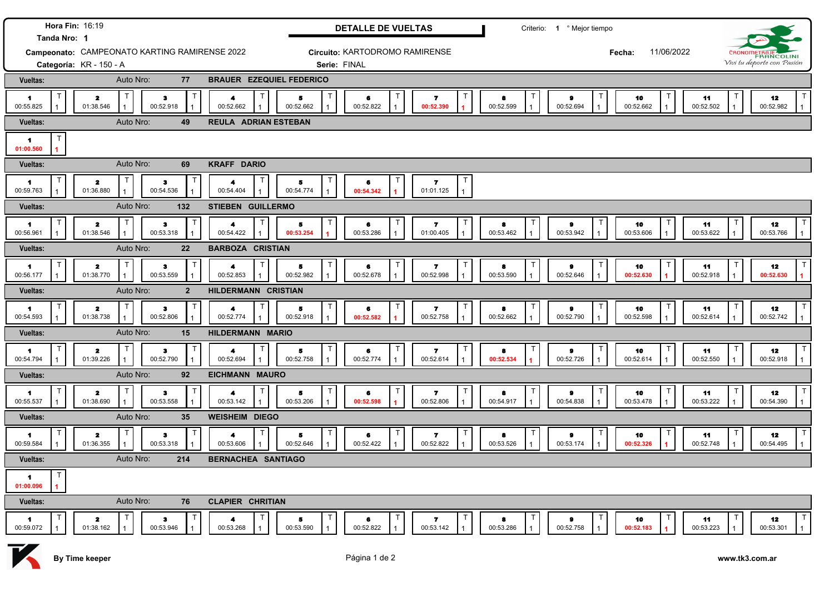| Tanda Nro: 1                     | Hora Fin: 16:19                                    |                             | <b>DETALLE DE VUELTAS</b>        |                                           |                | Criterio: 1 º Mejor tiempo  |                 |                 |                            |
|----------------------------------|----------------------------------------------------|-----------------------------|----------------------------------|-------------------------------------------|----------------|-----------------------------|-----------------|-----------------|----------------------------|
|                                  | Campeonato: CAMPEONATO KARTING RAMIRENSE 2022      |                             | Circuito: KARTODROMO RAMIRENSE   |                                           |                | 11/06/2022<br>Fecha:        |                 |                 | FRANCOLINI                 |
| Categoría: KR - 150 - A          |                                                    |                             | Serie: FINAL                     |                                           |                |                             |                 |                 | Vivi tu deporte con Pasión |
| Vueltas:                         | Auto Nro:<br><b>BRAUER EZEQUIEL FEDERICO</b><br>77 |                             |                                  |                                           |                |                             |                 |                 |                            |
| 1<br>00:55.825<br>01:38.546      | $\mathbf{z}$<br>з<br>00:52.918                     | 4<br>00:52.662              | 5<br>00:52.662<br>00:52.822      | $\mathbf{z}$<br>00:52.390<br>$\mathbf{1}$ | 8<br>00:52.599 | Т<br>$\bullet$<br>00:52.694 | 10<br>00:52.662 | 11<br>00:52.502 | 12<br>00:52.982            |
| Vueltas:                         | Auto Nro:<br>49                                    | <b>REULA ADRIAN ESTEBAN</b> |                                  |                                           |                |                             |                 |                 |                            |
| -1<br>01:00.560                  |                                                    |                             |                                  |                                           |                |                             |                 |                 |                            |
| <b>Vueltas:</b>                  | Auto Nro:<br>69                                    | <b>KRAFF DARIO</b>          |                                  |                                           |                |                             |                 |                 |                            |
| -1<br>00:59.763<br>01:36.880     | 2<br>з<br>00:54.536                                | 4<br>00:54.404              | 6<br>00:54.774<br>00:54.342      | 7<br>01:01.125                            |                |                             |                 |                 |                            |
| Vueltas:                         | 132<br>Auto Nro:                                   | STIEBEN GUILLERMO           |                                  |                                           |                |                             |                 |                 |                            |
| -1<br>01:38.546<br>00:56.961     | $\mathbf{z}$<br>з<br>00:53.318                     | 4<br>00:54.422              | 5<br>6<br>00:53.286<br>00:53.254 | 7<br>01:00.405                            | 8<br>00:53.462 | 9<br>00:53.942              | 10<br>00:53.606 | 11<br>00:53.622 | 12<br>00:53.766            |
| Vueltas:                         | Auto Nro:<br>22                                    | <b>BARBOZA CRISTIAN</b>     |                                  |                                           |                |                             |                 |                 |                            |
| 2<br>1<br>01:38.770<br>00:56.177 | з<br>00:53.559                                     | 4<br>00:52.853              | 5<br>6<br>00:52.982<br>00:52.678 | 7<br>00:52.998                            | 8<br>00:53.590 | 9<br>00:52.646              | 10<br>00:52.630 | 11<br>00:52.918 | 12<br>00:52.630            |
| Vueltas:                         | Auto Nro:<br>$\overline{2}$<br>HILDERMANN CRISTIAN |                             |                                  |                                           |                |                             |                 |                 |                            |
| 1                                |                                                    |                             | 5<br>6                           | Т<br>7                                    | 8              | т<br>9                      | 10              | 11<br>00:52.614 | ா<br>12<br>00:52.742       |
| 00:54.593<br>01:38.738           | $\mathbf{z}$<br>з<br>00:52.806                     | 4<br>00:52.774              | 00:52.918<br>00:52.582           | 00:52.758                                 | 00:52.662      | 00:52.790                   | 00:52.598       |                 |                            |
| Vueltas:                         | Auto Nro:<br>15                                    | HILDERMANN MARIO            |                                  |                                           |                |                             |                 |                 |                            |
| -1<br>00:54.794<br>01:39.226     | $\mathbf{z}$<br>з<br>00:52.790                     | 4<br>00:52.694              | 5<br>6<br>00:52.774<br>00:52.758 | 7<br>00:52.614                            | 8<br>00:52.534 | Τ<br>9<br>00:52.726         | 10<br>00:52.614 | 11<br>00:52.550 | 12<br>00:52.918            |
| Vueltas:                         | Auto Nro:<br>92                                    | <b>EICHMANN MAURO</b>       |                                  |                                           |                |                             |                 |                 |                            |
| -1<br>00:55.537<br>01:38.690     | $\mathbf{z}$<br>з<br>00:53.558                     | 4<br>00:53.142              | 5<br>6<br>00:53.206<br>00:52.598 | 7<br>00:52.806                            | 8<br>00:54.917 | т<br>$\bullet$<br>00:54.838 | 10<br>00:53.478 | 11<br>00:53.222 | 12<br>00:54.390            |
| Vueltas:                         | Auto Nro:<br>35                                    | <b>WEISHEIM DIEGO</b>       |                                  |                                           |                |                             |                 |                 |                            |
| -1<br>00:59.584<br>01:36.355     | з<br>2<br>00:53.318                                | 4<br>00:53.606              | 5<br>6<br>00:52.646<br>00:52.422 | $\mathbf{z}$<br>00:52.822                 | 8<br>00:53.526 | Т<br>9<br>00:53.174         | 10<br>00:52.326 | 11<br>00:52.748 | 12<br>00:54.495            |
| Vueltas:                         | Auto Nro:<br>214                                   | <b>BERNACHEA SANTIAGO</b>   |                                  |                                           |                |                             |                 |                 |                            |
| T<br>$\blacksquare$<br>01:00.096 |                                                    |                             |                                  |                                           |                |                             |                 |                 |                            |
| Vueltas:                         | Auto Nro:<br>76                                    | <b>CLAPIER CHRITIAN</b>     |                                  |                                           |                |                             |                 |                 |                            |